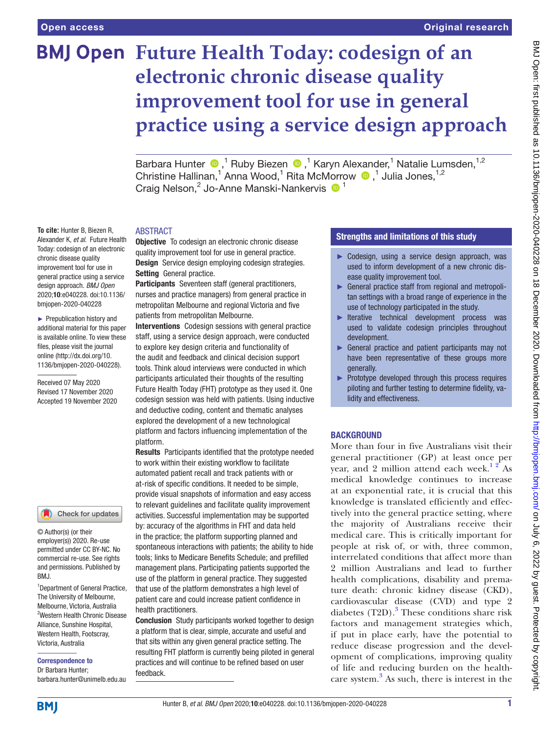**To cite:** Hunter B, Biezen R, Alexander K, *et al*. Future Health Today: codesign of an electronic chronic disease quality improvement tool for use in general practice using a service design approach. *BMJ Open* 2020;10:e040228. doi:10.1136/ bmjopen-2020-040228 ► Prepublication history and additional material for this paper is available online. To view these files, please visit the journal online (http://dx.doi.org/10. 1136/bmjopen-2020-040228).

Received 07 May 2020 Revised 17 November 2020 Accepted 19 November 2020

# **BMJ Open Future Health Today: codesign of an electronic chronic disease quality improvement tool for use in general practice using a service design approach**

BarbaraHunter <sup>®</sup>,<sup>1</sup> Ruby Biezen <sup>®</sup>,<sup>1</sup> Karyn Alexander,<sup>1</sup> Natalie Lumsden,<sup>1,2</sup> Christine Hallinan,<sup>1</sup> Anna Wood,<sup>1</sup> Rita McMorrow <sup>1</sup>,<sup>1</sup> Julia Jones,<sup>1,2</sup> Craig Nelson,<sup>2</sup> Jo-Anne Manski-Nankervis <sup>1</sup>

# ABSTRACT

**Objective** To codesign an electronic chronic disease quality improvement tool for use in general practice. Design Service design employing codesign strategies. Setting General practice.

Participants Seventeen staff (general practitioners, nurses and practice managers) from general practice in metropolitan Melbourne and regional Victoria and five patients from metropolitan Melbourne.

Interventions Codesign sessions with general practice staff, using a service design approach, were conducted to explore key design criteria and functionality of the audit and feedback and clinical decision support tools. Think aloud interviews were conducted in which participants articulated their thoughts of the resulting Future Health Today (FHT) prototype as they used it. One codesign session was held with patients. Using inductive and deductive coding, content and thematic analyses explored the development of a new technological platform and factors influencing implementation of the platform.

Results Participants identified that the prototype needed to work within their existing workflow to facilitate automated patient recall and track patients with or at-risk of specific conditions. It needed to be simple, provide visual snapshots of information and easy access to relevant guidelines and facilitate quality improvement activities. Successful implementation may be supported by: accuracy of the algorithms in FHT and data held in the practice; the platform supporting planned and spontaneous interactions with patients; the ability to hide tools; links to Medicare Benefits Schedule; and prefilled management plans. Participating patients supported the use of the platform in general practice. They suggested that use of the platform demonstrates a high level of patient care and could increase patient confidence in health practitioners.

**Conclusion** Study participants worked together to design a platform that is clear, simple, accurate and useful and that sits within any given general practice setting. The resulting FHT platform is currently being piloted in general practices and will continue to be refined based on user feedback.

# Strengths and limitations of this study

- ► Codesign, using a service design approach, was used to inform development of a new chronic disease quality improvement tool.
- ► General practice staff from regional and metropolitan settings with a broad range of experience in the use of technology participated in the study.
- ► Iterative technical development process was used to validate codesign principles throughout development.
- ► General practice and patient participants may not have been representative of these groups more generally.
- ► Prototype developed through this process requires piloting and further testing to determine fidelity, validity and effectiveness.

# **BACKGROUND**

More than four in five Australians visit their general practitioner (GP) at least once per year, and 2 million attend each week.<sup>12</sup> As medical knowledge continues to increase at an exponential rate, it is crucial that this knowledge is translated efficiently and effectively into the general practice setting, where the majority of Australians receive their medical care. This is critically important for people at risk of, or with, three common, interrelated conditions that affect more than 2 million Australians and lead to further health complications, disability and premature death: chronic kidney disease (CKD), cardiovascular disease (CVD) and type 2 diabetes  $(T2D)$ .<sup>[3](#page-8-1)</sup> These conditions share risk factors and management strategies which, if put in place early, have the potential to reduce disease progression and the development of complications, improving quality of life and reducing burden on the healthcare system.[3](#page-8-1) As such, there is interest in the

commercial re-use. See rights and permissions. Published by

Check for updates

© Author(s) (or their employer(s)) 2020. Re-use permitted under CC BY-NC. No

RM<sub>J</sub>

<sup>1</sup>Department of General Practice, The University of Melbourne, Melbourne, Victoria, Australia 2 Western Health Chronic Disease Alliance, Sunshine Hospital, Western Health, Footscray, Victoria, Australia

Correspondence to Dr Barbara Hunter; barbara.hunter@unimelb.edu.au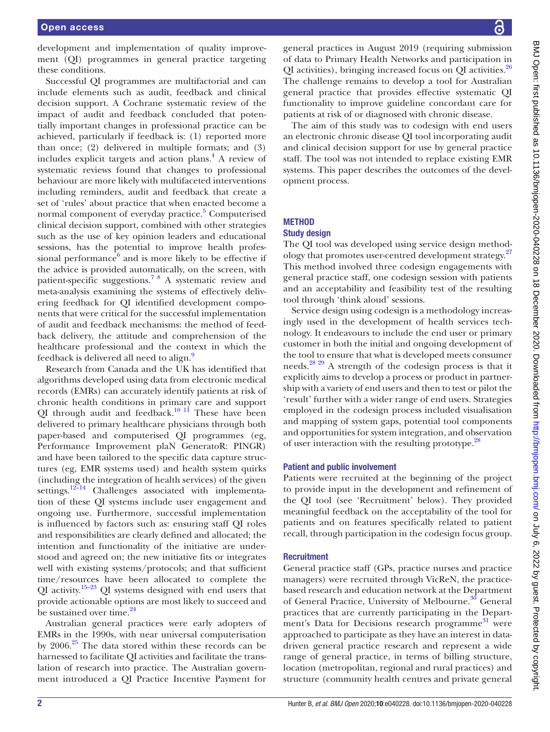development and implementation of quality improvement (QI) programmes in general practice targeting these conditions.

Successful QI programmes are multifactorial and can include elements such as audit, feedback and clinical decision support. A Cochrane systematic review of the impact of audit and feedback concluded that potentially important changes in professional practice can be achieved, particularly if feedback is: (1) reported more than once; (2) delivered in multiple formats; and (3) includes explicit targets and action plans.<sup>4</sup> A review of systematic reviews found that changes to professional behaviour are more likely with multifaceted interventions including reminders, audit and feedback that create a set of 'rules' about practice that when enacted become a normal component of everyday practice.<sup>[5](#page-8-3)</sup> Computerised clinical decision support, combined with other strategies such as the use of key opinion leaders and educational sessions, has the potential to improve health professional performance $6$  and is more likely to be effective if the advice is provided automatically, on the screen, with patient-specific suggestions.[7 8](#page-8-5) A systematic review and meta-analysis examining the systems of effectively delivering feedback for QI identified development components that were critical for the successful implementation of audit and feedback mechanisms: the method of feedback delivery, the attitude and comprehension of the healthcare professional and the context in which the feedback is delivered all need to align.<sup>9</sup>

Research from Canada and the UK has identified that algorithms developed using data from electronic medical records (EMRs) can accurately identify patients at risk of chronic health conditions in primary care and support QI through audit and feedback.<sup>10 11</sup> These have been delivered to primary healthcare physicians through both paper-based and computerised QI programmes (eg, Performance Improvement plaN GeneratoR: PINGR) and have been tailored to the specific data capture structures (eg, EMR systems used) and health system quirks (including the integration of health services) of the given settings.<sup>12-14</sup> Challenges associated with implementation of these QI systems include user engagement and ongoing use. Furthermore, successful implementation is influenced by factors such as: ensuring staff QI roles and responsibilities are clearly defined and allocated; the intention and functionality of the initiative are understood and agreed on; the new initiative fits or integrates well with existing systems/protocols; and that sufficient time/resources have been allocated to complete the QI activity.<sup>15–23</sup> QI systems designed with end users that provide actionable options are most likely to succeed and be sustained over time.<sup>24</sup>

Australian general practices were early adopters of EMRs in the 1990s, with near universal computerisation by  $2006.<sup>25</sup>$  The data stored within these records can be harnessed to facilitate QI activities and facilitate the translation of research into practice. The Australian government introduced a QI Practice Incentive Payment for

general practices in August 2019 (requiring submission of data to Primary Health Networks and participation in QI activities), bringing increased focus on QI activities.<sup>[26](#page-9-2)</sup> The challenge remains to develop a tool for Australian general practice that provides effective systematic QI functionality to improve guideline concordant care for patients at risk of or diagnosed with chronic disease.

The aim of this study was to codesign with end users an electronic chronic disease QI tool incorporating audit and clinical decision support for use by general practice staff. The tool was not intended to replace existing EMR systems. This paper describes the outcomes of the development process.

# **METHOD**

# Study design

The QI tool was developed using service design method-ology that promotes user-centred development strategy.<sup>[27](#page-9-3)</sup> This method involved three codesign engagements with general practice staff, one codesign session with patients and an acceptability and feasibility test of the resulting tool through 'think aloud' sessions.

Service design using codesign is a methodology increasingly used in the development of health services technology. It endeavours to include the end user or primary customer in both the initial and ongoing development of the tool to ensure that what is developed meets consumer needs.[28 29](#page-9-4) A strength of the codesign process is that it explicitly aims to develop a process or product in partnership with a variety of end users and then to test or pilot the 'result' further with a wider range of end users. Strategies employed in the codesign process included visualisation and mapping of system gaps, potential tool components and opportunities for system integration, and observation of user interaction with the resulting prototype.<sup>[28](#page-9-4)</sup>

# Patient and public involvement

Patients were recruited at the beginning of the project to provide input in the development and refinement of the QI tool (see 'Recruitment' below). They provided meaningful feedback on the acceptability of the tool for patients and on features specifically related to patient recall, through participation in the codesign focus group.

# **Recruitment**

General practice staff (GPs, practice nurses and practice managers) were recruited through VicReN, the practicebased research and education network at the Department of General Practice, University of Melbourne.<sup>[30](#page-9-5)</sup> General practices that are currently participating in the Depart-ment's Data for Decisions research programme<sup>[31](#page-9-6)</sup> were approached to participate as they have an interest in datadriven general practice research and represent a wide range of general practice, in terms of billing structure, location (metropolitan, regional and rural practices) and structure (community health centres and private general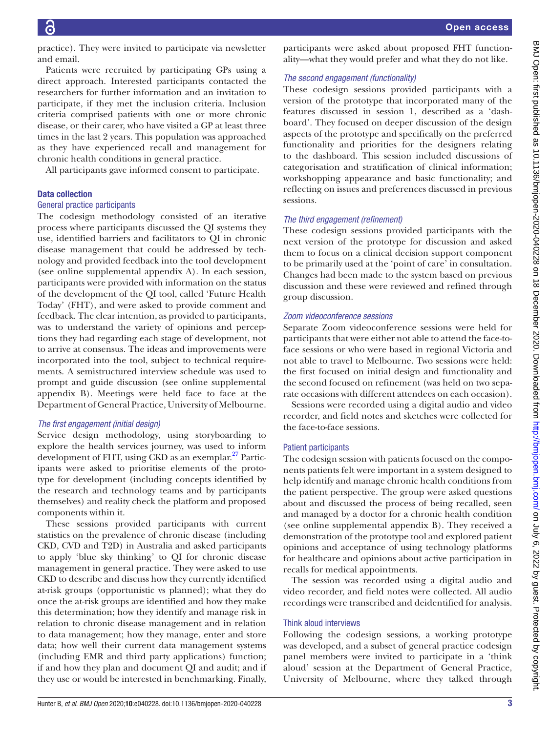practice). They were invited to participate via newsletter and email.

Patients were recruited by participating GPs using a direct approach. Interested participants contacted the researchers for further information and an invitation to participate, if they met the inclusion criteria. Inclusion criteria comprised patients with one or more chronic disease, or their carer, who have visited a GP at least three times in the last 2 years. This population was approached as they have experienced recall and management for chronic health conditions in general practice.

All participants gave informed consent to participate.

## Data collection

#### General practice participants

The codesign methodology consisted of an iterative process where participants discussed the QI systems they use, identified barriers and facilitators to QI in chronic disease management that could be addressed by technology and provided feedback into the tool development (see [online supplemental appendix A\)](https://dx.doi.org/10.1136/bmjopen-2020-040228). In each session, participants were provided with information on the status of the development of the QI tool, called 'Future Health Today' (FHT), and were asked to provide comment and feedback. The clear intention, as provided to participants, was to understand the variety of opinions and perceptions they had regarding each stage of development, not to arrive at consensus. The ideas and improvements were incorporated into the tool, subject to technical requirements. A semistructured interview schedule was used to prompt and guide discussion (see [online supplemental](https://dx.doi.org/10.1136/bmjopen-2020-040228) [appendix B](https://dx.doi.org/10.1136/bmjopen-2020-040228)). Meetings were held face to face at the Department of General Practice, University of Melbourne.

## *The first engagement (initial design)*

Service design methodology, using storyboarding to explore the health services journey, was used to inform development of FHT, using CKD as an exemplar.<sup>[27](#page-9-3)</sup> Participants were asked to prioritise elements of the prototype for development (including concepts identified by the research and technology teams and by participants themselves) and reality check the platform and proposed components within it.

These sessions provided participants with current statistics on the prevalence of chronic disease (including CKD, CVD and T2D) in Australia and asked participants to apply 'blue sky thinking' to QI for chronic disease management in general practice. They were asked to use CKD to describe and discuss how they currently identified at-risk groups (opportunistic vs planned); what they do once the at-risk groups are identified and how they make this determination; how they identify and manage risk in relation to chronic disease management and in relation to data management; how they manage, enter and store data; how well their current data management systems (including EMR and third party applications) function; if and how they plan and document QI and audit; and if they use or would be interested in benchmarking. Finally,

participants were asked about proposed FHT functionality—what they would prefer and what they do not like.

#### *The second engagement (functionality)*

These codesign sessions provided participants with a version of the prototype that incorporated many of the features discussed in session 1, described as a 'dashboard'. They focused on deeper discussion of the design aspects of the prototype and specifically on the preferred functionality and priorities for the designers relating to the dashboard. This session included discussions of categorisation and stratification of clinical information; workshopping appearance and basic functionality; and reflecting on issues and preferences discussed in previous sessions.

#### *The third engagement (refinement)*

These codesign sessions provided participants with the next version of the prototype for discussion and asked them to focus on a clinical decision support component to be primarily used at the 'point of care' in consultation. Changes had been made to the system based on previous discussion and these were reviewed and refined through group discussion.

#### *Zoom videoconference sessions*

Separate Zoom videoconference sessions were held for participants that were either not able to attend the face-toface sessions or who were based in regional Victoria and not able to travel to Melbourne. Two sessions were held: the first focused on initial design and functionality and the second focused on refinement (was held on two separate occasions with different attendees on each occasion).

Sessions were recorded using a digital audio and video recorder, and field notes and sketches were collected for the face-to-face sessions.

#### Patient participants

The codesign session with patients focused on the components patients felt were important in a system designed to help identify and manage chronic health conditions from the patient perspective. The group were asked questions about and discussed the process of being recalled, seen and managed by a doctor for a chronic health condition (see [online supplemental appendix B](https://dx.doi.org/10.1136/bmjopen-2020-040228)). They received a demonstration of the prototype tool and explored patient opinions and acceptance of using technology platforms for healthcare and opinions about active participation in recalls for medical appointments.

The session was recorded using a digital audio and video recorder, and field notes were collected. All audio recordings were transcribed and deidentified for analysis.

## Think aloud interviews

Following the codesign sessions, a working prototype was developed, and a subset of general practice codesign panel members were invited to participate in a 'think aloud' session at the Department of General Practice, University of Melbourne, where they talked through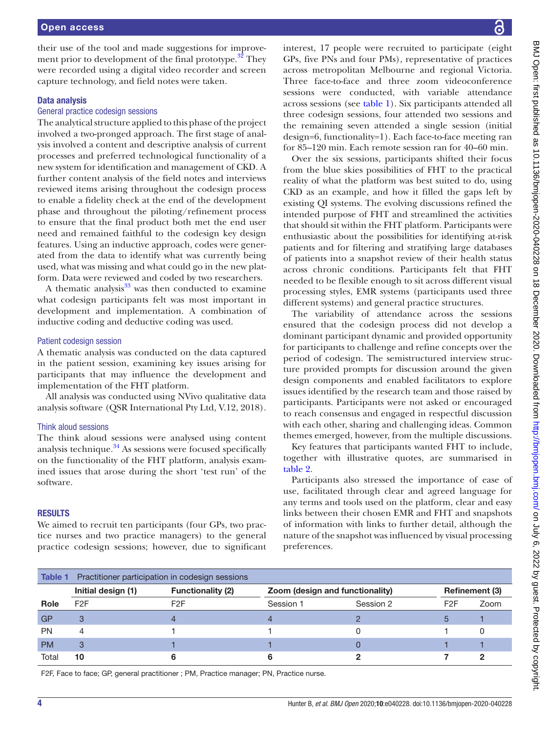their use of the tool and made suggestions for improvement prior to development of the final prototype.<sup>32</sup> They were recorded using a digital video recorder and screen capture technology, and field notes were taken.

# Data analysis

## General practice codesign sessions

The analytical structure applied to this phase of the project involved a two-pronged approach. The first stage of analysis involved a content and descriptive analysis of current processes and preferred technological functionality of a new system for identification and management of CKD. A further content analysis of the field notes and interviews reviewed items arising throughout the codesign process to enable a fidelity check at the end of the development phase and throughout the piloting/refinement process to ensure that the final product both met the end user need and remained faithful to the codesign key design features. Using an inductive approach, codes were generated from the data to identify what was currently being used, what was missing and what could go in the new platform. Data were reviewed and coded by two researchers.

A thematic analysis $33$  was then conducted to examine what codesign participants felt was most important in development and implementation. A combination of inductive coding and deductive coding was used.

## Patient codesign session

A thematic analysis was conducted on the data captured in the patient session, examining key issues arising for participants that may influence the development and implementation of the FHT platform.

All analysis was conducted using NVivo qualitative data analysis software (QSR International Pty Ltd, V.12, 2018).

# Think aloud sessions

The think aloud sessions were analysed using content analysis technique. $34$  As sessions were focused specifically on the functionality of the FHT platform, analysis examined issues that arose during the short 'test run' of the software.

## **RESULTS**

We aimed to recruit ten participants (four GPs, two practice nurses and two practice managers) to the general practice codesign sessions; however, due to significant interest, 17 people were recruited to participate (eight GPs, five PNs and four PMs), representative of practices across metropolitan Melbourne and regional Victoria. Three face-to-face and three zoom videoconference sessions were conducted, with variable attendance across sessions (see [table](#page-3-0) 1). Six participants attended all three codesign sessions, four attended two sessions and the remaining seven attended a single session (initial design=6, functionality=1). Each face-to-face meeting ran for 85–120 min. Each remote session ran for 40–60 min.

Over the six sessions, participants shifted their focus from the blue skies possibilities of FHT to the practical reality of what the platform was best suited to do, using CKD as an example, and how it filled the gaps left by existing QI systems. The evolving discussions refined the intended purpose of FHT and streamlined the activities that should sit within the FHT platform. Participants were enthusiastic about the possibilities for identifying at-risk patients and for filtering and stratifying large databases of patients into a snapshot review of their health status across chronic conditions. Participants felt that FHT needed to be flexible enough to sit across different visual processing styles, EMR systems (participants used three different systems) and general practice structures.

The variability of attendance across the sessions ensured that the codesign process did not develop a dominant participant dynamic and provided opportunity for participants to challenge and refine concepts over the period of codesign. The semistructured interview structure provided prompts for discussion around the given design components and enabled facilitators to explore issues identified by the research team and those raised by participants. Participants were not asked or encouraged to reach consensus and engaged in respectful discussion with each other, sharing and challenging ideas. Common themes emerged, however, from the multiple discussions.

Key features that participants wanted FHT to include, together with illustrative quotes, are summarised in [table](#page-4-0) 2.

Participants also stressed the importance of ease of use, facilitated through clear and agreed language for any terms and tools used on the platform, clear and easy links between their chosen EMR and FHT and snapshots of information with links to further detail, although the nature of the snapshot was influenced by visual processing preferences.

<span id="page-3-0"></span>

| Table 1 Practitioner participation in codesign sessions |                          |                                 |           |                       |      |
|---------------------------------------------------------|--------------------------|---------------------------------|-----------|-----------------------|------|
| Initial design (1)                                      | <b>Functionality (2)</b> | Zoom (design and functionality) |           | <b>Refinement (3)</b> |      |
| F <sub>2</sub> F                                        | F <sub>2</sub> F         | Session 1                       | Session 2 | F2F                   | Zoom |
| 3                                                       |                          |                                 |           |                       |      |
| 4                                                       |                          |                                 |           |                       |      |
| 3                                                       |                          |                                 |           |                       |      |
| 10                                                      |                          |                                 |           |                       |      |
|                                                         |                          |                                 |           |                       |      |

F2F, Face to face; GP, general practitioner ; PM, Practice manager; PN, Practice nurse.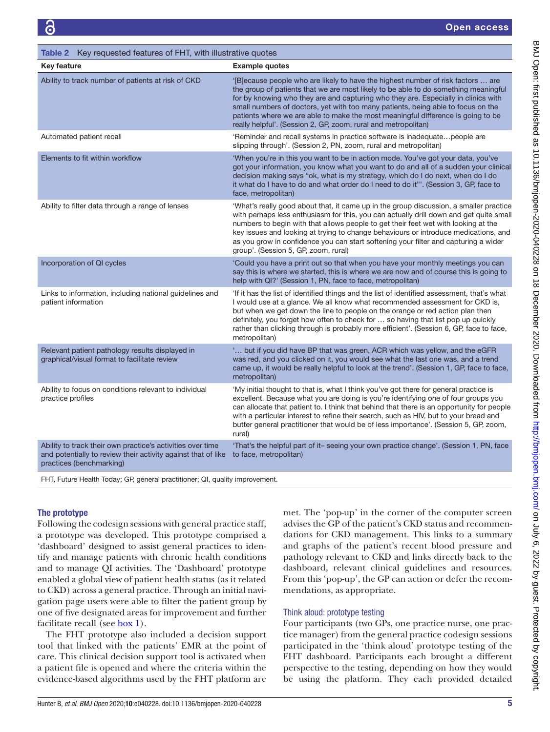| <b>Key feature</b>                                                                                                                                      | <b>Example quotes</b>                                                                                                                                                                                                                                                                                                                                                                                                                                                                                   |
|---------------------------------------------------------------------------------------------------------------------------------------------------------|---------------------------------------------------------------------------------------------------------------------------------------------------------------------------------------------------------------------------------------------------------------------------------------------------------------------------------------------------------------------------------------------------------------------------------------------------------------------------------------------------------|
| Ability to track number of patients at risk of CKD                                                                                                      | '[B]ecause people who are likely to have the highest number of risk factors  are<br>the group of patients that we are most likely to be able to do something meaningful<br>for by knowing who they are and capturing who they are. Especially in clinics with<br>small numbers of doctors, yet with too many patients, being able to focus on the<br>patients where we are able to make the most meaningful difference is going to be<br>really helpful'. (Session 2, GP, zoom, rural and metropolitan) |
| Automated patient recall                                                                                                                                | 'Reminder and recall systems in practice software is inadequate people are<br>slipping through'. (Session 2, PN, zoom, rural and metropolitan)                                                                                                                                                                                                                                                                                                                                                          |
| Elements to fit within workflow                                                                                                                         | 'When you're in this you want to be in action mode. You've got your data, you've<br>got your information, you know what you want to do and all of a sudden your clinical<br>decision making says "ok, what is my strategy, which do I do next, when do I do<br>it what do I have to do and what order do I need to do it"'. (Session 3, GP, face to<br>face, metropolitan)                                                                                                                              |
| Ability to filter data through a range of lenses                                                                                                        | 'What's really good about that, it came up in the group discussion, a smaller practice<br>with perhaps less enthusiasm for this, you can actually drill down and get quite small<br>numbers to begin with that allows people to get their feet wet with looking at the<br>key issues and looking at trying to change behaviours or introduce medications, and<br>as you grow in confidence you can start softening your filter and capturing a wider<br>group'. (Session 5, GP, zoom, rural)            |
| Incorporation of QI cycles                                                                                                                              | 'Could you have a print out so that when you have your monthly meetings you can<br>say this is where we started, this is where we are now and of course this is going to<br>help with QI?' (Session 1, PN, face to face, metropolitan)                                                                                                                                                                                                                                                                  |
| Links to information, including national guidelines and<br>patient information                                                                          | 'If it has the list of identified things and the list of identified assessment, that's what<br>I would use at a glance. We all know what recommended assessment for CKD is,<br>but when we get down the line to people on the orange or red action plan then<br>definitely, you forget how often to check for  so having that list pop up quickly<br>rather than clicking through is probably more efficient'. (Session 6, GP, face to face,<br>metropolitan)                                           |
| Relevant patient pathology results displayed in<br>graphical/visual format to facilitate review                                                         | ' but if you did have BP that was green, ACR which was yellow, and the eGFR<br>was red, and you clicked on it, you would see what the last one was, and a trend<br>came up, it would be really helpful to look at the trend'. (Session 1, GP, face to face,<br>metropolitan)                                                                                                                                                                                                                            |
| Ability to focus on conditions relevant to individual<br>practice profiles                                                                              | 'My initial thought to that is, what I think you've got there for general practice is<br>excellent. Because what you are doing is you're identifying one of four groups you<br>can allocate that patient to. I think that behind that there is an opportunity for people<br>with a particular interest to refine their search, such as HIV, but to your bread and<br>butter general practitioner that would be of less importance'. (Session 5, GP, zoom,<br>rural)                                     |
| Ability to track their own practice's activities over time<br>and potentially to review their activity against that of like<br>practices (benchmarking) | 'That's the helpful part of it-seeing your own practice change'. (Session 1, PN, face<br>to face, metropolitan)                                                                                                                                                                                                                                                                                                                                                                                         |

FHT, Future Health Today; GP, general practitioner; QI, quality improvement.

<span id="page-4-0"></span>Table 2 Key requested features of FHT, with illustrative quotes

# The prototype

Following the codesign sessions with general practice staff, a prototype was developed. This prototype comprised a 'dashboard' designed to assist general practices to identify and manage patients with chronic health conditions and to manage QI activities. The 'Dashboard' prototype enabled a global view of patient health status (as it related to CKD) across a general practice. Through an initial navigation page users were able to filter the patient group by one of five designated areas for improvement and further facilitate recall (see [box](#page-5-0) 1).

The FHT prototype also included a decision support tool that linked with the patients' EMR at the point of care. This clinical decision support tool is activated when a patient file is opened and where the criteria within the evidence-based algorithms used by the FHT platform are

met. The 'pop-up' in the corner of the computer screen advises the GP of the patient's CKD status and recommendations for CKD management. This links to a summary and graphs of the patient's recent blood pressure and pathology relevant to CKD and links directly back to the dashboard, relevant clinical guidelines and resources. From this 'pop-up', the GP can action or defer the recommendations, as appropriate.

# Think aloud: prototype testing

Four participants (two GPs, one practice nurse, one practice manager) from the general practice codesign sessions participated in the 'think aloud' prototype testing of the FHT dashboard. Participants each brought a different perspective to the testing, depending on how they would be using the platform. They each provided detailed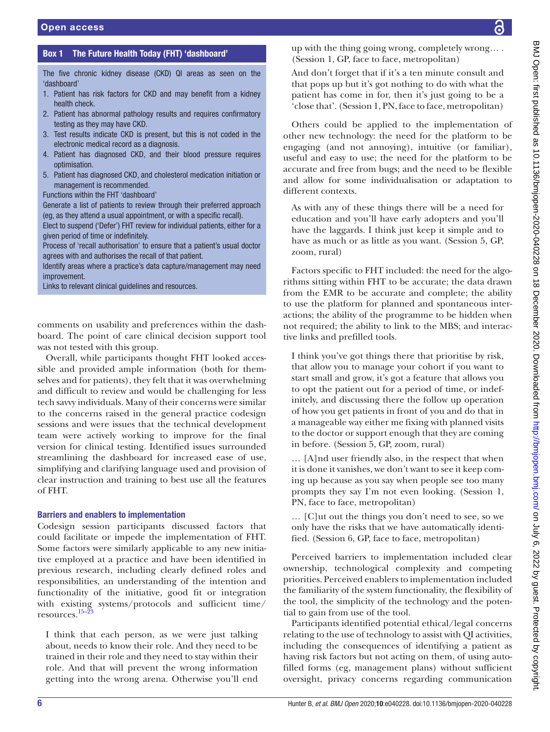# Box 1 The Future Health Today (FHT) 'dashboard'

<span id="page-5-0"></span>The five chronic kidney disease (CKD) QI areas as seen on the 'dashboard'

- 1. Patient has risk factors for CKD and may benefit from a kidney health check.
- 2. Patient has abnormal pathology results and requires confirmatory testing as they may have CKD.
- 3. Test results indicate CKD is present, but this is not coded in the electronic medical record as a diagnosis.
- 4. Patient has diagnosed CKD, and their blood pressure requires optimisation.
- 5. Patient has diagnosed CKD, and cholesterol medication initiation or management is recommended.
- Functions within the FHT 'dashboard'

Generate a list of patients to review through their preferred approach (eg, as they attend a usual appointment, or with a specific recall).

Elect to suspend ('Defer') FHT review for individual patients, either for a given period of time or indefinitely.

Process of 'recall authorisation' to ensure that a patient's usual doctor agrees with and authorises the recall of that patient.

Identify areas where a practice's data capture/management may need improvement.

Links to relevant clinical guidelines and resources.

comments on usability and preferences within the dashboard. The point of care clinical decision support tool was not tested with this group.

Overall, while participants thought FHT looked accessible and provided ample information (both for themselves and for patients), they felt that it was overwhelming and difficult to review and would be challenging for less tech savvy individuals. Many of their concerns were similar to the concerns raised in the general practice codesign sessions and were issues that the technical development team were actively working to improve for the final version for clinical testing. Identified issues surrounded streamlining the dashboard for increased ease of use, simplifying and clarifying language used and provision of clear instruction and training to best use all the features of FHT.

#### Barriers and enablers to implementation

Codesign session participants discussed factors that could facilitate or impede the implementation of FHT. Some factors were similarly applicable to any new initiative employed at a practice and have been identified in previous research, including clearly defined roles and responsibilities, an understanding of the intention and functionality of the initiative, good fit or integration with existing systems/protocols and sufficient time/ resources. $15-2$ 

I think that each person, as we were just talking about, needs to know their role. And they need to be trained in their role and they need to stay within their role. And that will prevent the wrong information getting into the wrong arena. Otherwise you'll end

up with the thing going wrong, completely wrong… . (Session 1, GP, face to face, metropolitan)

And don't forget that if it's a ten minute consult and that pops up but it's got nothing to do with what the patient has come in for, then it's just going to be a 'close that'. (Session 1, PN, face to face, metropolitan)

Others could be applied to the implementation of other new technology: the need for the platform to be engaging (and not annoying), intuitive (or familiar), useful and easy to use; the need for the platform to be accurate and free from bugs; and the need to be flexible and allow for some individualisation or adaptation to different contexts.

As with any of these things there will be a need for education and you'll have early adopters and you'll have the laggards. I think just keep it simple and to have as much or as little as you want. (Session 5, GP, zoom, rural)

Factors specific to FHT included: the need for the algorithms sitting within FHT to be accurate; the data drawn from the EMR to be accurate and complete; the ability to use the platform for planned and spontaneous interactions; the ability of the programme to be hidden when not required; the ability to link to the MBS; and interactive links and prefilled tools.

I think you've got things there that prioritise by risk, that allow you to manage your cohort if you want to start small and grow, it's got a feature that allows you to opt the patient out for a period of time, or indefinitely, and discussing there the follow up operation of how you get patients in front of you and do that in a manageable way either me fixing with planned visits to the doctor or support enough that they are coming in before. (Session 5, GP, zoom, rural)

… [A]nd user friendly also, in the respect that when it is done it vanishes, we don't want to see it keep coming up because as you say when people see too many prompts they say I'm not even looking. (Session 1, PN, face to face, metropolitan)

… [C]ut out the things you don't need to see, so we only have the risks that we have automatically identified. (Session 6, GP, face to face, metropolitan)

Perceived barriers to implementation included clear ownership, technological complexity and competing priorities. Perceived enablers to implementation included the familiarity of the system functionality, the flexibility of the tool, the simplicity of the technology and the potential to gain from use of the tool.

Participants identified potential ethical/legal concerns relating to the use of technology to assist with QI activities, including the consequences of identifying a patient as having risk factors but not acting on them, of using autofilled forms (eg, management plans) without sufficient oversight, privacy concerns regarding communication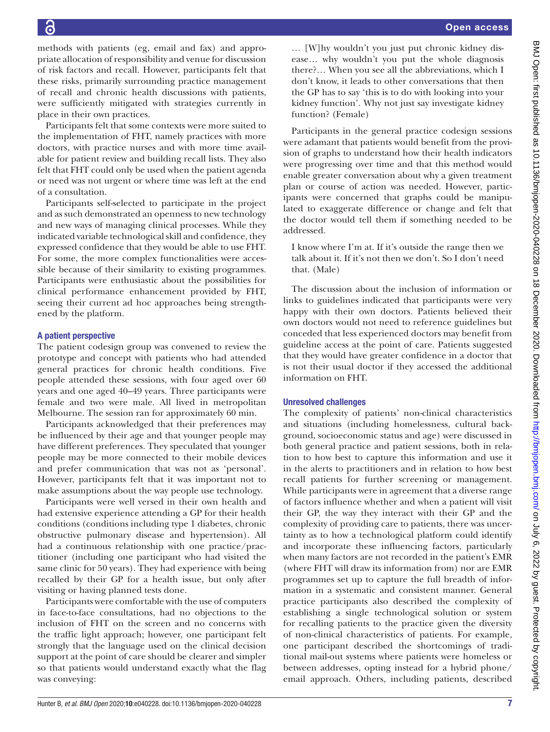methods with patients (eg, email and fax) and appropriate allocation of responsibility and venue for discussion of risk factors and recall. However, participants felt that these risks, primarily surrounding practice management of recall and chronic health discussions with patients, were sufficiently mitigated with strategies currently in place in their own practices.

Participants felt that some contexts were more suited to the implementation of FHT, namely practices with more doctors, with practice nurses and with more time available for patient review and building recall lists. They also felt that FHT could only be used when the patient agenda or need was not urgent or where time was left at the end of a consultation.

Participants self-selected to participate in the project and as such demonstrated an openness to new technology and new ways of managing clinical processes. While they indicated variable technological skill and confidence, they expressed confidence that they would be able to use FHT. For some, the more complex functionalities were accessible because of their similarity to existing programmes. Participants were enthusiastic about the possibilities for clinical performance enhancement provided by FHT, seeing their current ad hoc approaches being strengthened by the platform.

# A patient perspective

The patient codesign group was convened to review the prototype and concept with patients who had attended general practices for chronic health conditions. Five people attended these sessions, with four aged over 60 years and one aged 40–49 years. Three participants were female and two were male. All lived in metropolitan Melbourne. The session ran for approximately 60 min.

Participants acknowledged that their preferences may be influenced by their age and that younger people may have different preferences. They speculated that younger people may be more connected to their mobile devices and prefer communication that was not as 'personal'. However, participants felt that it was important not to make assumptions about the way people use technology.

Participants were well versed in their own health and had extensive experience attending a GP for their health conditions (conditions including type 1 diabetes, chronic obstructive pulmonary disease and hypertension). All had a continuous relationship with one practice/practitioner (including one participant who had visited the same clinic for 50 years). They had experience with being recalled by their GP for a health issue, but only after visiting or having planned tests done.

Participants were comfortable with the use of computers in face-to-face consultations, had no objections to the inclusion of FHT on the screen and no concerns with the traffic light approach; however, one participant felt strongly that the language used on the clinical decision support at the point of care should be clearer and simpler so that patients would understand exactly what the flag was conveying:

… [W]hy wouldn't you just put chronic kidney disease… why wouldn't you put the whole diagnosis there?… When you see all the abbreviations, which I don't know, it leads to other conversations that then the GP has to say 'this is to do with looking into your kidney function'. Why not just say investigate kidney function? (Female)

Participants in the general practice codesign sessions were adamant that patients would benefit from the provision of graphs to understand how their health indicators were progressing over time and that this method would enable greater conversation about why a given treatment plan or course of action was needed. However, participants were concerned that graphs could be manipulated to exaggerate difference or change and felt that the doctor would tell them if something needed to be addressed.

I know where I'm at. If it's outside the range then we talk about it. If it's not then we don't. So I don't need that. (Male)

The discussion about the inclusion of information or links to guidelines indicated that participants were very happy with their own doctors. Patients believed their own doctors would not need to reference guidelines but conceded that less experienced doctors may benefit from guideline access at the point of care. Patients suggested that they would have greater confidence in a doctor that is not their usual doctor if they accessed the additional information on FHT.

# Unresolved challenges

The complexity of patients' non-clinical characteristics and situations (including homelessness, cultural background, socioeconomic status and age) were discussed in both general practice and patient sessions, both in relation to how best to capture this information and use it in the alerts to practitioners and in relation to how best recall patients for further screening or management. While participants were in agreement that a diverse range of factors influence whether and when a patient will visit their GP, the way they interact with their GP and the complexity of providing care to patients, there was uncertainty as to how a technological platform could identify and incorporate these influencing factors, particularly when many factors are not recorded in the patient's EMR (where FHT will draw its information from) nor are EMR programmes set up to capture the full breadth of information in a systematic and consistent manner. General practice participants also described the complexity of establishing a single technological solution or system for recalling patients to the practice given the diversity of non-clinical characteristics of patients. For example, one participant described the shortcomings of traditional mail-out systems where patients were homeless or between addresses, opting instead for a hybrid phone/ email approach. Others, including patients, described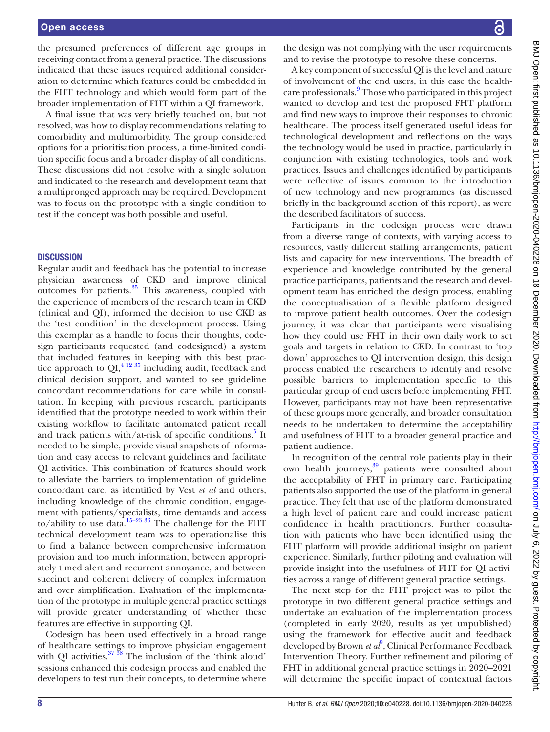the presumed preferences of different age groups in receiving contact from a general practice. The discussions indicated that these issues required additional consideration to determine which features could be embedded in the FHT technology and which would form part of the broader implementation of FHT within a QI framework.

A final issue that was very briefly touched on, but not resolved, was how to display recommendations relating to comorbidity and multimorbidity. The group considered options for a prioritisation process, a time-limited condition specific focus and a broader display of all conditions. These discussions did not resolve with a single solution and indicated to the research and development team that a multipronged approach may be required. Development was to focus on the prototype with a single condition to test if the concept was both possible and useful.

#### **DISCUSSION**

Regular audit and feedback has the potential to increase physician awareness of CKD and improve clinical outcomes for patients. $35$  This awareness, coupled with the experience of members of the research team in CKD (clinical and QI), informed the decision to use CKD as the 'test condition' in the development process. Using this exemplar as a handle to focus their thoughts, codesign participants requested (and codesigned) a system that included features in keeping with this best prac-tice approach to QI,<sup>[4 12 35](#page-8-2)</sup> including audit, feedback and clinical decision support, and wanted to see guideline concordant recommendations for care while in consultation. In keeping with previous research, participants identified that the prototype needed to work within their existing workflow to facilitate automated patient recall and track patients with/at-risk of specific conditions.<sup>[5](#page-8-3)</sup> It needed to be simple, provide visual snapshots of information and easy access to relevant guidelines and facilitate QI activities. This combination of features should work to alleviate the barriers to implementation of guideline concordant care, as identified by Vest *et al* and others, including knowledge of the chronic condition, engagement with patients/specialists, time demands and access to/ability to use data.<sup>15-23 36</sup> The challenge for the FHT technical development team was to operationalise this to find a balance between comprehensive information provision and too much information, between appropriately timed alert and recurrent annoyance, and between succinct and coherent delivery of complex information and over simplification. Evaluation of the implementation of the prototype in multiple general practice settings will provide greater understanding of whether these features are effective in supporting QI.

Codesign has been used effectively in a broad range of healthcare settings to improve physician engagement with QI activities. $37 \frac{38}{10}$  The inclusion of the 'think aloud' sessions enhanced this codesign process and enabled the developers to test run their concepts, to determine where

the design was not complying with the user requirements and to revise the prototype to resolve these concerns.

A key component of successful QI is the level and nature of involvement of the end users, in this case the healthcare professionals.<sup>9</sup> Those who participated in this project wanted to develop and test the proposed FHT platform and find new ways to improve their responses to chronic healthcare. The process itself generated useful ideas for technological development and reflections on the ways the technology would be used in practice, particularly in conjunction with existing technologies, tools and work practices. Issues and challenges identified by participants were reflective of issues common to the introduction of new technology and new programmes (as discussed briefly in the background section of this report), as were the described facilitators of success.

Participants in the codesign process were drawn from a diverse range of contexts, with varying access to resources, vastly different staffing arrangements, patient lists and capacity for new interventions. The breadth of experience and knowledge contributed by the general practice participants, patients and the research and development team has enriched the design process, enabling the conceptualisation of a flexible platform designed to improve patient health outcomes. Over the codesign journey, it was clear that participants were visualising how they could use FHT in their own daily work to set goals and targets in relation to CKD. In contrast to 'top down' approaches to QI intervention design, this design process enabled the researchers to identify and resolve possible barriers to implementation specific to this particular group of end users before implementing FHT. However, participants may not have been representative of these groups more generally, and broader consultation needs to be undertaken to determine the acceptability and usefulness of FHT to a broader general practice and patient audience.

In recognition of the central role patients play in their own health journeys,<sup>39</sup> patients were consulted about the acceptability of FHT in primary care. Participating patients also supported the use of the platform in general practice. They felt that use of the platform demonstrated a high level of patient care and could increase patient confidence in health practitioners. Further consultation with patients who have been identified using the FHT platform will provide additional insight on patient experience. Similarly, further piloting and evaluation will provide insight into the usefulness of FHT for QI activities across a range of different general practice settings.

The next step for the FHT project was to pilot the prototype in two different general practice settings and undertake an evaluation of the implementation process (completed in early 2020, results as yet unpublished) using the framework for effective audit and feedback developed by Brown *et al*<sup>[9](#page-8-6)</sup>, Clinical Performance Feedback Intervention Theory. Further refinement and piloting of FHT in additional general practice settings in 2020–2021 will determine the specific impact of contextual factors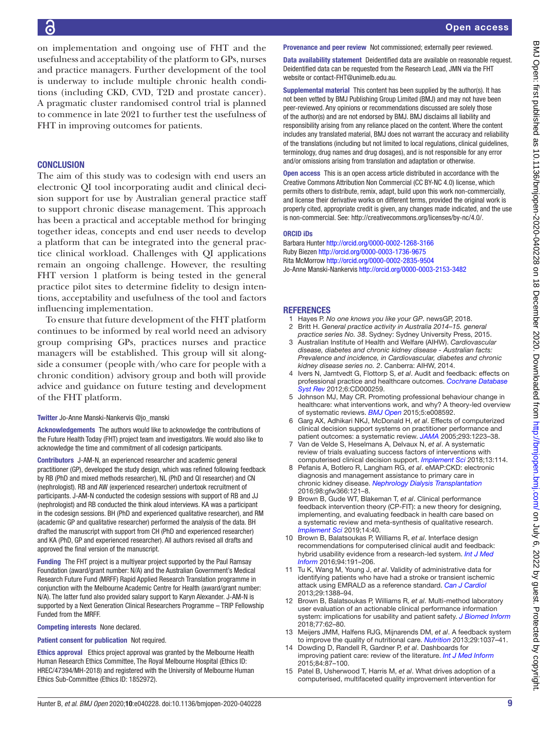on implementation and ongoing use of FHT and the usefulness and acceptability of the platform to GPs, nurses and practice managers. Further development of the tool is underway to include multiple chronic health conditions (including CKD, CVD, T2D and prostate cancer). A pragmatic cluster randomised control trial is planned to commence in late 2021 to further test the usefulness of FHT in improving outcomes for patients.

# **CONCLUSION**

The aim of this study was to codesign with end users an electronic QI tool incorporating audit and clinical decision support for use by Australian general practice staff to support chronic disease management. This approach has been a practical and acceptable method for bringing together ideas, concepts and end user needs to develop a platform that can be integrated into the general practice clinical workload. Challenges with QI applications remain an ongoing challenge. However, the resulting FHT version 1 platform is being tested in the general practice pilot sites to determine fidelity to design intentions, acceptability and usefulness of the tool and factors influencing implementation.

To ensure that future development of the FHT platform continues to be informed by real world need an advisory group comprising GPs, practices nurses and practice managers will be established. This group will sit alongside a consumer (people with/who care for people with a chronic condition) advisory group and both will provide advice and guidance on future testing and development of the FHT platform.

#### Twitter Jo-Anne Manski-Nankervis [@jo\\_manski](https://twitter.com/jo_manski)

Acknowledgements The authors would like to acknowledge the contributions of the Future Health Today (FHT) project team and investigators. We would also like to acknowledge the time and commitment of all codesign participants.

Contributors J-AM-N, an experienced researcher and academic general practitioner (GP), developed the study design, which was refined following feedback by RB (PhD and mixed methods researcher), NL (PhD and QI researcher) and CN (nephrologist). RB and AW (experienced researcher) undertook recruitment of participants. J-AM-N conducted the codesign sessions with support of RB and JJ (nephrologist) and RB conducted the think aloud interviews. KA was a participant in the codesign sessions. BH (PhD and experienced qualitative researcher), and RM (academic GP and qualitative researcher) performed the analysis of the data. BH drafted the manuscript with support from CH (PhD and experienced researcher) and KA (PhD, GP and experienced researcher). All authors revised all drafts and approved the final version of the manuscript.

Funding The FHT project is a multiyear project supported by the Paul Ramsay Foundation (award/grant number: N/A) and the Australian Government's Medical Research Future Fund (MRFF) Rapid Applied Research Translation programme in conjunction with the Melbourne Academic Centre for Health (award/grant number: N/A). The latter fund also provided salary support to Karyn Alexander. J-AM-N is supported by a Next Generation Clinical Researchers Programme – TRIP Fellowship Funded from the MRFF.

#### Competing interests None declared.

#### Patient consent for publication Not required.

Ethics approval Ethics project approval was granted by the Melbourne Health Human Research Ethics Committee, The Royal Melbourne Hospital (Ethics ID: HREC/47394/MH-2018) and registered with the University of Melbourne Human Ethics Sub-Committee (Ethics ID: 1852972).

Provenance and peer review Not commissioned; externally peer reviewed.

Data availability statement Deidentified data are available on reasonable request. Deidentified data can be requested from the Research Lead, JMN via the FHT website or contact-FHT@unimelb.edu.au.

Supplemental material This content has been supplied by the author(s). It has not been vetted by BMJ Publishing Group Limited (BMJ) and may not have been peer-reviewed. Any opinions or recommendations discussed are solely those of the author(s) and are not endorsed by BMJ. BMJ disclaims all liability and responsibility arising from any reliance placed on the content. Where the content includes any translated material, BMJ does not warrant the accuracy and reliability of the translations (including but not limited to local regulations, clinical guidelines, terminology, drug names and drug dosages), and is not responsible for any error and/or omissions arising from translation and adaptation or otherwise.

Open access This is an open access article distributed in accordance with the Creative Commons Attribution Non Commercial (CC BY-NC 4.0) license, which permits others to distribute, remix, adapt, build upon this work non-commercially, and license their derivative works on different terms, provided the original work is properly cited, appropriate credit is given, any changes made indicated, and the use is non-commercial. See: [http://creativecommons.org/licenses/by-nc/4.0/.](http://creativecommons.org/licenses/by-nc/4.0/)

#### ORCID iDs

Barbara Hunter <http://orcid.org/0000-0002-1268-3166> Ruby Biezen<http://orcid.org/0000-0003-1736-9675> Rita McMorrow <http://orcid.org/0000-0002-2835-9504> Jo-Anne Manski-Nankervis<http://orcid.org/0000-0003-2153-3482>

# <span id="page-8-0"></span>**REFERENCES**

- 1 Hayes P. *No one knows you like your GP*. newsGP, 2018.
- 2 Britt H. *General practice activity in Australia 2014–15. general practice series No. 38*. Sydney: Sydney University Press, 2015.
- <span id="page-8-1"></span>3 Australian Institute of Health and Welfare (AIHW). *Cardiovascular disease, diabetes and chronic kidney disease - Australian facts: Prevalence and incidence, in Cardiovascular, diabetes and chronic kidney disease series no. 2*. Canberra: AIHW, 2014.
- <span id="page-8-2"></span>4 Ivers N, Jamtvedt G, Flottorp S, *et al*. Audit and feedback: effects on professional practice and healthcare outcomes. *[Cochrane Database](http://dx.doi.org/10.1002/14651858.CD000259.pub3)  [Syst Rev](http://dx.doi.org/10.1002/14651858.CD000259.pub3)* 2012;6:CD000259.
- <span id="page-8-3"></span>5 Johnson MJ, May CR. Promoting professional behaviour change in healthcare: what interventions work, and why? A theory-led overview of systematic reviews. *[BMJ Open](http://dx.doi.org/10.1136/bmjopen-2015-008592)* 2015;5:e008592.
- <span id="page-8-4"></span>6 Garg AX, Adhikari NKJ, McDonald H, *et al*. Effects of computerized clinical decision support systems on practitioner performance and patient outcomes: a systematic review. *[JAMA](http://dx.doi.org/10.1001/jama.293.10.1223)* 2005;293:1223–38.
- <span id="page-8-5"></span>7 Van de Velde S, Heselmans A, Delvaux N, *et al*. A systematic review of trials evaluating success factors of interventions with computerised clinical decision support. *[Implement Sci](http://dx.doi.org/10.1186/s13012-018-0790-1)* 2018;13:114.
- 8 Pefanis A, Botlero R, Langham RG, *et al*. eMAP:CKD: electronic diagnosis and management assistance to primary care in chronic kidney disease. *[Nephrology Dialysis Transplantation](http://dx.doi.org/10.1093/ndt/gfw366)* 2016;98:gfw366:121–8.
- <span id="page-8-6"></span>9 Brown B, Gude WT, Blakeman T, *et al*. Clinical performance feedback intervention theory (CP-FIT): a new theory for designing, implementing, and evaluating feedback in health care based on a systematic review and meta-synthesis of qualitative research. *[Implement Sci](http://dx.doi.org/10.1186/s13012-019-0883-5)* 2019;14:40.
- <span id="page-8-7"></span>10 Brown B, Balatsoukas P, Williams R, *et al*. Interface design recommendations for computerised clinical audit and feedback: hybrid usability evidence from a research-led system. *[Int J Med](http://dx.doi.org/10.1016/j.ijmedinf.2016.07.010)  [Inform](http://dx.doi.org/10.1016/j.ijmedinf.2016.07.010)* 2016;94:191–206.
- 11 Tu K, Wang M, Young J, *et al*. Validity of administrative data for identifying patients who have had a stroke or transient ischemic attack using EMRALD as a reference standard. *[Can J Cardiol](http://dx.doi.org/10.1016/j.cjca.2013.07.676)* 2013;29:1388–94.
- <span id="page-8-8"></span>12 Brown B, Balatsoukas P, Williams R, *et al*. Multi-method laboratory user evaluation of an actionable clinical performance information system: implications for usability and patient safety. *[J Biomed Inform](http://dx.doi.org/10.1016/j.jbi.2017.11.008)* 2018;77:62–80.
- 13 Meijers JMM, Halfens RJG, Mijnarends DM, *et al*. A feedback system to improve the quality of nutritional care. *[Nutrition](http://dx.doi.org/10.1016/j.nut.2013.02.007)* 2013;29:1037–41.
- 14 Dowding D, Randell R, Gardner P, *et al*. Dashboards for improving patient care: review of the literature. *[Int J Med Inform](http://dx.doi.org/10.1016/j.ijmedinf.2014.10.001)* 2015;84:87–100.
- <span id="page-8-9"></span>15 Patel B, Usherwood T, Harris M, *et al*. What drives adoption of a computerised, multifaceted quality improvement intervention for